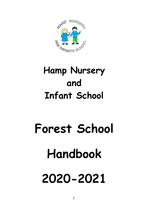

# Hamp Nursery and Infant School

# Forest School Handbook 2020-2021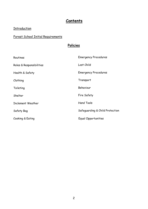# **Contents**

#### **Introduction**

# Forest School Initial Requirements

# Policies

| Routines                 | <b>Emergency Procedures</b>     |
|--------------------------|---------------------------------|
| Roles & Responsibilities | Lost Child                      |
| Health & Safety          | <b>Emergency Procedures</b>     |
| Clothing                 | Transport                       |
| Toileting                | Behaviour                       |
| Shelter                  | Fire Safety                     |
| Inclement Weather        | <b>Hand Tools</b>               |
| Safety Bag               | Safeguarding & Child Protection |
| Cooking & Eating         | Equal Opportunities             |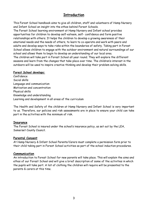## **Introduction**

This Forest School handbook aims to give all children, staff and volunteers of Hamp Nursery and Infant School an insight into the ethos behind Forest Schools.

The Forest School learning environment at Hamp Nursery and Infant school provides opportunities for children to develop self-esteem, self- confidence and form positive relationships with others. It helps the children to develop a growing awareness of their emotional needs and the needs of others, to learn to co-operate and work with peers and adults and develop ways to take risks within the boundaries of safety. Taking part in Forest School allows children to engage with the outdoor environment and natural surroundings of our school and allows them to begin to develop an understanding of our local area. The children will take part in Forest School all year round. They will explore the different seasons and learn from the changes that take place over time. The children's interest in the

outdoors will be used to inspire creative thinking and develop their problem solving skills.

#### Forest School develops:

Confidence Social skills Language and communication Motivation and concentration Physical skills Knowledge and understanding Learning and development in all areas of the curriculum

The Health and Safety of the children at Hamp Nursery and Infant School is very important to us. Therefore, our policies and risk assessments are in place to ensure your child can take part in the activities with the minimum of risk.

#### **Insurance**

The Forest School is insured under the school's insurance policy, as set out by the LEA, Somerset County Council.

#### Parental Consent

At Hamp Nursery & Infant School Parents/Carers must complete a permission form prior to their child taking part in Forest School activities as part of the school induction procedures.

#### Communication

An introduction to Forest School for new parents will take place. This will explain the aims and ethos of our Forest School and will give a brief description of some of the activities in which the pupils will take part. A list of clothing the children will require will be presented to the parents & carers at this time.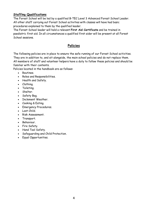#### Staffing Qualifications

The Forest School will be led by a qualified B-TEC Level 3 Advanced Forest School Leader. All other staff carrying out Forest School activities with classes will have had basic procedures explained to them by the qualified leader.

The Forest School leader will hold a relevant First Aid Certificate and be trained in paediatric first aid. In all circumstances a qualified first aider will be present at all Forest School sessions.

### Policies

The following policies are in place to ensure the safe running of our Forest School activities. They are in addition to, and sit alongside, the main school policies and do not replace them. All members of staff and volunteer helpers have a duty to follow these policies and should be familiar with their contents.

Policies located in the handbook are as follows:

- **Poutines**
- Roles and Responsibilities.
- Health and Safety.
- Clothing.
- Toileting.
- Shelter.
- Safety Bag.
- Inclement Weather
- Cooking & Eating.
- Emergency Procedures.
- Lost Child.
- Risk Assessment.
- Transport.
- Behaviour.
- Fire Safety.
- Hand Tool Safety.
- Safeguarding and Child Protection.
- Equal Opportunities.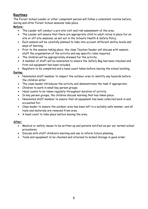# Routines

The Forest School Leader or other competent person will follow a consistent routine before, during and after Forest School sessions take place.

#### Before:

- The Leader will conduct a pre-site visit and risk assessment of the area.
- The Leader will ensure that there are appropriate child to adult ratios in place for on site or off site sessions, as set out in the School's Health & Safety Policy.
- Each session will be carefully planned to take into account different ability levels and ways of learning.
- Prior to the session taking place, the class Teacher/leader will discuss with session staff the organisation of the activity and any specific roles required.
- The children will be appropriately dressed for the activity.
- A member of staff will be nominated to ensure the Safety Bag has been checked and first aid equipment has been included.
- Registers to be completed and a head count taken before leaving the school building.

#### During:

- Nominated staff member to inspect the outdoor area to identify any hazards before the children enter.
- The class leader introduces the activity and demonstrates the task if appropriate.
- Children to work in small key person groups.
- Head counts to be taken regularly throughout duration of activity.
- In key person groups, the children discuss learning that has taken place.
- Nominated staff member to ensure that all equipment has been collected back in and accounted for.
- Class leader to ensure the outdoor area has been left in a suitably safe manner, and all tools and materials are removed from area.
- A head count to take place before leaving the area.

#### After:

- Medical or safety issues to be written up and parents notified as per our normal school procedures.
- Discuss with staff children's learning and use to inform future planning.
- Tools and equipment to be checked and returned to locked storage in good order.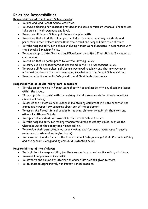# Roles and Responsibilities

#### Responsibilities of the Forest School Leader

- To plan and lead Forest School activities.
- To ensure planning for sessions provides an inclusive curriculum where all children can take part at their own pace and level.
- To ensure all Forest School policies are complied with.
- To ensure that all adults taking part including teachers, teaching assistants and parent/volunteer helpers understand their roles and responsibilities at all times.
- To take responsibility for behaviour during Forest School sessions in accordance with the School's Behaviour Policy.
- To have an up to date First Aid qualification or a qualified First Aid staff member at each session.
- To ensure that all participants follow the Clothing Policy.
- To carry out risk assessments as described in the Risk Assessment Policy.
- To ensure all Forest School policies are reviewed regularly and that any review is informed by observations and developing knowledge of the Forest School setting.
- To adhere to the school's Safeguarding and Child Protection Policy

#### Responsibilities of adults taking part in sessions

- To take an active role in Forest School activities and assist with any discipline issues within the group.
- If appropriate, to assist with the walking of children on roads to off-site locations (Transport Policy).
- To assist the Forest School Leader in maintaining equipment in a safe condition and immediately report any concerns about any of the equipment.
- To assist the Forest School Leader in teaching children to maintain their own and others' Health and Safety.
- To report all accidents or hazards to the Forest School Leader.
- To take responsibility for making themselves aware of safety issues, such as the whereabouts of the safety bag / first aid kit.
- To provide their own suitable outdoor clothing and footwear. (Waterproof rousers, waterproof coats and wellington boots)
- To be aware of and adhere to the Forest School Safeguarding & Child Protection Policy and the school's Safeguarding and Child Protection policy.

#### Responsibilities of the Children

- To begin to take responsibility for their own safety as well as the safety of others.
- To avoid taking unnecessary risks.
- To listen to and follow any information and/or instructions given to them.
- To be dressed appropriately for Forest School sessions.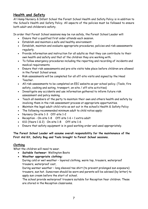# Health and Safety

At Hamp Nursery & Infant School the Forest School Health and Safety Policy is in addition to the School's Health and Safety Policy. All aspects of the policies must be followed to ensure both adult and childeren's safety.

In order that Forest School sessions may be run safely, the Forest School Leader will:

- Ensure that a qualified first aider attends each session.
- Establish and maintain a safe and healthy environment:
- Establish, maintain and evaluate appropriate procedures, policies and risk assessments regularly.
- Provide information and instruction for all adults so that they can contribute to their own health and safety and that of the children they are working with.
- To follow emergency procedures including the reporting and recording of incidents and medical requirements.
- Ensure that risk assessments and pre-site visits take place before children are allowed in the Forest School areas.
- Risk assessments will be completed for all off-site visits and signed by the Head Teacher.
- All risk assessments to be completed on EEC website as per school policy. (Tools, fire safety, cooking and eating, transport, on-site / off-site activities)
- Investigate any accidents and use information gathered to inform future risk assessment and policy making.
- Teach all members of the party to maintain their own and others health and safety by involving them in the risk assessment process at appropriate opportunities.
- Maintain the legal adult-child ratio as set out in the school's Health & Safety Policy
- The following recommended minimum adult to child ratios apply:
- Nursery On-site 1-3 Off-site 1-2
- Reception On-site 1-8 Off-site 1-6 + 1 extra adult
- KS1 (Years 1 & 2) On-site 1-8 Off-site 1-6
- Ensure that safety equipment is in good working order and used appropriately.

#### The Forest School Leader will assume overall responsibility for the maintenance of the First Aid Kit, Safety Bag and Tools brought to Forest School sessions.

#### Clothing

What the children will need to wear.

- Suitable footwear: Wellington Boots
- Weather appropriate clothing:
	- During cold or wet weather layered clothing, warm top, trousers, waterproof trousers, waterproof coat,

During warmer weather – long sleeved tee shirt (to prevent prolonged sun exposure) trousers, sun hat. Sunscreen should be worn and parents will be advised (by letter) to apply sun cream before the start of school.

The school provide waterproof trousers suitable for Reception Year children. These are stored in the Reception classrooms.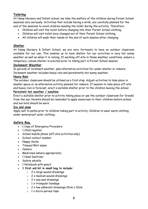#### Toileting

At Hamp Nursery and Infant school, we take the welfare of the children during Forest School sessions very seriously. Activities that include having a drink, are carefully planned for the end of the sessions to avoid children needing the toilet during the activitiy. Therefore:

- Children will visit the toilet before changing into their Forest School clothing.
- Children will visit toilet once changed out of their Forest School clothing.
- All children will wash their hands at the end of each session after changing.

#### Shelter

At Hamp Nursery & Infant School, we are very fortunate to have an outdoor classroom available for our use. This enables us to have shelter for our activities in very hot sunny weather as well as when it is raining. If working off-site in those weather conditions, ensure a temporary, canvas shelter is erected prior to taking part in Forest School session.

#### Inclement Weather

In periods of inclement weather, plan alternative activities for under shelter or indoors. Inclement weather includes heavy rain and persistently hot sunny weather.

#### Heavy Rain

The outdoor classroom should be utilised as a first step. Adjust activities to take place in smaller space or an alternative activity planned for indoors. If session to take place off-site and heavy rain is forecast, erect a suitable shelter prior to the children leaving the school.

#### Persistent hot weather / sunshine

Erect a suitable shelter prior to activity taking place or use the outdoor classroom for 'breaks' from the sun. Parents should be reminded to apply sunscreen to their children before school and sun hats should be worn.

#### Ice and snow

Apply salt to paths prior to children taking part in activity. Children to wear warm clothing under waterproof outer clothing.

#### Safety Bag

- 1 Copy of Emergency Procedure
- 1 Child register
- School mobile phone (off-site activities only)
- School contact number
- Nappy Sacks
- Tissues/Wet wipes
- Camera
- Medicines (where appropriate)
- 1 Hand Sanitizer
- Safety whistle
- 1 Notebook with pencil
- 1 first aid kit in small bag to include:
	- $\circ$  2 x large wound dressings
	- $\circ$  2 x medium wound dressings
	- $\circ$  2 x eye pad dressings
	- $\circ$  1 x triangular bandage
	- $\circ$  2 x low adherent dressings 10cm x 10cm
	- $\circ$  1 x micro-porous tape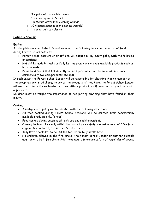- $\circ$  3 x pairs of disposable gloves
- $\circ$  1 x saline eyewash 500ml
- $\circ$  1 x sterile water (for cleaning wounds)
- $\circ$  10 x gauze squares (for cleaning wounds)
- $\circ$  1 x small pair of scissors

#### Eating & Cooking

#### Eating

At Hamp Nursery and Infant School, we adopt the following Policy on the eating of food during Forest School sessions:

- Forest School sessions on or off site, will adopt a nil-by-mouth policy with the following exceptions:
- Hot drinks made in flasks or Kelly kettles from commercially available products such as hot chocolate.
- Drinks and foods that link directly to our topics, which will be sourced only from commercially available products. (Shops)

In such cases, the Forest School Leader will be responsible for checking that no member of the group has any listed allergy to any of the products; if they have, the Forest School Leader will use their discretion as to whether a substitute product or different activity will be most appropriate.

Children must be taught the importance of not putting anything they have found in their mouth.

#### Cooking

- A nil-by-mouth policy will be adopted with the following exceptions:
- All food cooked during Forest School sessions, will be sourced from commercially available products only. (Shops)
- Food cooked during sessions will only use one cooking pan/pot.
- Cooking to take place only within the normal fire safety 'exclusion zone' of 1.5m from edge of fire, adhering to our Fire Safety Policy.
- Kelly kettle cook set, to be utilised for use on Kelly kettle base.
- No children allowed in the fire circle. The Forest school Leader or another suitable adult only to be in fire circle. Additional adults to ensure safety of remainder of group.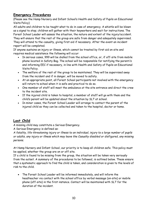# Emergency Procedures

(Please see the Hamp Nursery and Infant School's Health and Safety of Pupils on Educational Visits Policy)

All adults and children to be taught what to do in case of emergency. A whistle will be blown as a signal to stop; children will gather with their keyworkers and wait for instructions. The Forest School Leader will assess the situation, the nature and extent of the injury/accident. They will ensure that the rest of the group are safe from danger and adequately supervised. They will attend to the casualty, giving first aid if necessary. After the event an incident report will be completed.

If anyone sustains an injury or illness, which cannot be treated by first aid on site and requires medical assistance the following will occur:

- In serious cases, 999 will be dialled from the school office, or, if off-site from mobile phone located in Safety Bag. The school will be responsible for notifying the parent/s and informing EEC if necessary, in line with Health and Safety of Pupils on Educational Visits Policy.
- The welfare of the rest of the group to be maintained. They will be supervised away from the incident and if in danger, will be moved to safety.
- At an appropriate point, all Forest School participants not involved with the emergency will return to school when it is safe and practical to do so.
- One member of staff will meet the ambulance at the site entrance and direct the crew to the incident site.
- If the injured child is taken to hospital, a member of staff will go with them and the child's parent will be updated about the situation by SLT at school.
- In minor cases, the Forest School Leader will arrange to contact the parent of the injured child so they can be collected and taken to the hospital, doctor or home.

# Lost Child

A missing child may constitute a Serious Emergency.

A Serious Emergency is defined as:

A fatality, life-threatening injury or illness to an individual, injury to a large number of pupils or adults, any injury or illness which may leave the Casualty disabled or disfigured, any missing persons.

At Hamp Nursery and Infant School, our priority is to keep all children safe. This policy must be applied, whether the group are on or off site.

If a child is found to be missing from the group, the situation will be taken very seriously from the outset. A summary of the procedures to be followed, is outlined below. These ensure that a systematic approach to find the child is taken, and consideration is given to the levels of risk to the child.

 The Forest School Leader will be informed immediately, and will inform the headteacher via contact with the school office by verbal message (on-site) or mobile phone (off-site) in the first instance. Contact will be maintained with SLT for the duration of the incident.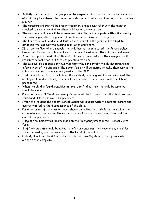- Activity for the rest of the group shall be suspended in order that up to two members of staff may be released to conduct an initial search, which shall last no more than five minutes.
- The remaining children will be brought together, a head count taken with the register checked to make sure that no other child has also gone astray.
- The remaining children will be given a low risk activity to complete, within the area by the remaining adults, being mindful not to increase anxiety of the group.
- The Forest School Leader, in discussion with adults in the group will attempt to establish who last saw the missing pupil, when and where.
- If, after the five-minute search, the child has not been located, the Forest School Leader will inform the school office of the location at which the child was last seen.
- At an appropriate point all adults and children not involved with the emergency will return to school when it is safe and practical to do so.
- The SLT will be updated continually so that they can contact the child's parents and inform them of the situation. The parent/carer will be invited to make their way to the school or the outdoor venue as agreed with the SLT.
- Staff should corroborate details of the incident, including last known position of the missing child and any timing. These will be recorded in accordance with the school's procedures
- When the child is found, sensitive attempts to find out how the child became lost should be made.
- Parents/carers, SLT and Emergency Services will be informed that the child has been found and is safe and well as appropriate.
- After the incident the Forest School Leader will discuss with the parents/carers the events that led to the disappearance of the child.
- Parents/carers of the class or group should be invited to a debriefing to explain the circumstances surrounding the incident, or a letter sent home giving details of the events if appropriate.
- A log of the incident will be recorded on the Emergency Procedures School Visits form.
- Staff and parents should be asked to refer any enquires they have or any enquiries from the media, or other sources, to the Head of the school.
- Liability should not be discussed until after any investigation by the appropriate authorities is complete.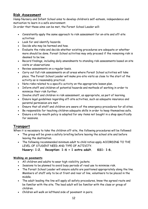# Risk Assessment

Hamp Nursery and Infant School aims to develop children's self-esteem, independence and motivation to learn in a safe environment.

In order that these aims can be met, the Forset School Leader will:

- Consistently apply the same approach to risk assessment for on-site and off-site activities:
- Look for and identify hazards.
- Decide who may be harmed and how.
- Evaluate the risks and decide whether existing procedures are adequate or whether more should be done. Forest School activities may only proceed if the remaining risk is deemed to be low.
- Record findings, including daily amendments to standing risk assessments based on site visits or observations
- Review assessments on a regular basis.
- Carry out full risk assessments on all areas where Forest School activities will take place. The Forest School Leader will make pre-site visits as close to the start of the activity as is reasonably practical.
- Note risks related to a specific activity on the appropriate lesson plan.
- Inform staff and children of potential hazards and methods of working in order to minimize their risk further.
- Involve staff and children in risk assessment, as appropriate, as part of learning.
- Ensure legal guidelines regarding off-site activities, such as adequate insurance and parental permission are met.
- Ensure that all staff and children are aware of the emergency procedures for all sites.
- Be responsible for teaching children adequate skills in order to keep themselves safe.
- Ensure a nil-by-mouth policy is adopted for any items not bought in a shop specifically for sessions.

# Transport

When it is necessary to take the children off-site, the following procedures will be followed:

- The group will be given a safety briefing before leaving the school site and before leaving the destination.
- The following recommended minimum adult to child ratios apply ACCORDING TO THE LEVEL OF STUDENT NEED AND TYPE OF ACTIVITY.

Nusery: 1:2. Reception: 1-6 + 1 extra adult. KS1: 1:6.

#### Walking on pavements

- All children and adults to wear high visibility jackets.
- Sessions to be planned to avoid busy periods of road use to minimise risk.
- The Forest School Leader will ensure adults are positioned appropriately along the line. Members of staff only to be at front and rear of line, volunteers to be placed in the middle.
- The adult leading the line will apply all safety procedures, know the agreed route and be familiar with the site. The lead adult will be familiar with the class or group of children.
- Children will walk on lefthand side of pavement in pairs.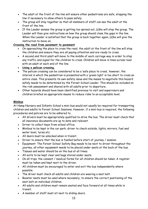- The adult at the front of the line will ensure other pedestrians are safe, stopping the line if necessary to allow others to pass safely.
- The group will stay together so that all members of staff can see the adult at the front of the line.
- If the Leader senses the group is getting too spread out, (s)he will stop the group. The Leader will then give instructions on how the group should close the gaps in the line. When the Leader is satisfied that the group is back together again, (s)he will give the instruction to move on.

#### Crossing the road from pavement to pavement

- On approaching the place to cross the road, the adult at the front of the line will stop the children and ensure they are all paying attention and are ready to cross.
- A second and third adult will move to the middle of each carriage way in order to stop any traffic and signal for the children to cross. Children will move in lines across road with an adult at each end of the line.
- Using a pelican crossing.
- The pelican crossing can be considered to be a 'safe place to cross', however, the interval in which the pedestrian is presented with a 'green light' is too short to cross an entire class. This presents its own safety issue and the means to negotiate this hazard safely needs to be determined by the Forest School Leader. This should be included on the risk assessment and shared with all adults prior to departure.
- Other hazards should have been identified previous to visit and supervisors and children briefed on appropriate means to reduce risks to an acceptable level.

#### Minibus

At Hamp Nursery and Infants School a mini-bus would not usually be required for transporting children and adults to Forest School Sessions. However, if a mini-bus is required, the following procedures and policies are to be adhered to.

- All drivers must be appropriately qualified to drive the bus. The driver must check that all insurance documents are up to date and relevant.
- Driver to collect keys from school office.
- Minibus to be kept in the car park, driver to check outside, lights, mirrors, fuel and water level, tyres etc.
- All doors must be unlocked when in transit.
- Driver to ensure that the bus is fuelled before start of journey / session.
- Equipment: The Forest School Safety Bag needs to be next to driver throughout the journey, all other equipment needs to be placed under seats at the back of the bus.
- Tissues and water should be on the bus at all times.
- All exits to be kept clear and bags stored under seats.
- On all trips, the consent / medical forms for all children should be taken. A register must be taken and kept next to the driver.
- All children must be encouraged to enter and exit the bus independently where possible.
- The driver must check all adults and children are wearing a seat belt.
- Booster seats must be used where necessary, to ensure the correct positioning of the seat belt on individual children.
- All adults and children must remain seated and face forward at all times while in transit.
- A member of staff must sit next to sliding doors.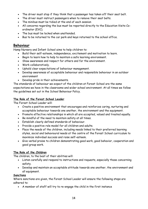- The driver must stop if they think that a passenger has taken off their seat belt.
- The driver must instruct passengers when to remove their seat belts.
- The minibus must be tidied at the end of each session
- All concerns regarding the bus must be reported directly to the Education Visits Coordinator (EVC).
- The bus must be locked when unattended.
- Bus to be returned to the car park and keys returned to the school office.

#### Behaviour

Hamp Nursery and Infant School aims to help children to:

- Build their self-esteem, independence, excitement and motivation to learn.
- Begin to learn how to help to maintain a safe learning environment.
- Show awareness and respect for others and for the environment.
- Work collaboratively.
- Uphold clear expectations of behaviour management.
- Develop awareness of acceptable behaviour and responsible behaviour in an outdoor environment
- Develop pride in their achievements.

The standards of behaviour we expect of the children at Forest School are the same expectations we have in the classrooms and wider school environment. At all times we follow the guidelines set out in the School Behaviour Policy.

#### The Role of the Forest School Leader

The Forest School Leader will:

- Create a positive environment that encourages and reinforces caring, nurturing and acceptable behaviour towards one another, the environment and the equipment.
- Promote effective relationships in which all are accepted, valued and treated equally.
- Be mindful of the need to maintain safety at all times.
- Establish clearly defined standards of behaviour.
- Provide a positive role model for all children and adults.
- Place the needs of the children, including needs linked to their preferred learning styles, social and behavioural needs at the centre of the Forest School curriculum to maximize individual success and raise self-esteem.
- Give verbal praise to children demonstrating good work, good behavior, cooperation and good group work.

#### The Role of the Children

The children, to the best of their abilities will:

- Listen carefully and respond to instructions and requests, especially those concerning safety.
- Develop and maintain an acceptable attitude towards one another, the environment and all equipment.

#### **Sanctions**

Where sanctions are given, the Forest School Leader will ensure the following steps are adhered to:

A member of staff will try to re-engage the child in the first instance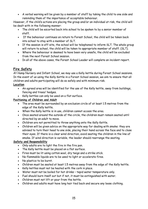A verbal warning will be given by a member of staff by taking the child to one side and reminding them of the importance of acceptable behaviour.

However, if the child's actions are placing the group and/or an individual at risk, the child will be dealt with in the following manner:

- The child will be escorted back into school to be spoken to by a senior member of staff.
- If the behaviour continues on return to Forest School, the child will be taken back into school to stay with a member of SLT.
- If the session is off-site, the school will be telephoned to inform SLT. The whole group will return to school, the child will be taken to appropriate member of staff. (SLT).
- Where the behaviour is deemed to have been very unsafe, the child will be excluded from the next Forest School session.
- In all of the above cases, the Forest School Leader will complete an incident report.

# Fire Safety

At Hamp Nursery and Infant School, we may use a Kelly kettle during Forest School sessions. In the event of us using the Kelly Kettle in a Forest School session, we aim to ensure that all children and adults participating will do so safely and with minimum risk.

#### Location

- An agreed area will be identified for the use of the Kelly kettle, away from buildings, fencing and trees/ hedges.
- Kelly kettles can only be used on a flat surface.

#### Positioning of Children and Adult

- The area must be surrounded by an exclusion circle of at least 1.5 metres from the edge of the Kelly kettle.
- When the Kelly kettle is in use, children cannot access the area.
- Once seated around the outside of the circle, the children must remain seated until directed by an adult to move.
- Children are not permitted to throw anything onto the Kelly Kettle.
- Children will be given advice on the appropriate way for dealing with smoke: they are advised to turn their head to one side, placing their hand across the face and to close their eyes. If there is a clear wind direction, avoid seating the children in the line of smoke. If wind direction is variable, the leader should rearrange the seating.

#### Safety and Responsibility

- Only adults are to light the fire in the fire pan.
- The Kelly kettle must be placed on a flat surface.
- Fires must be lit using cotton wool, dry twigs and a strike stick.
- No flammable liquids are to be used to light or accelerate fires.
- No plastics to be burnt.
- Children must be seated at least 1.5 metres away from the edge of the Kelly kettle.
- Kelly kettles must not be heated with the cork in place.
- Water must not be boiled for hot drinks tepid water temperature only.
- Fuel should burn itself out but if not, it must be extinguished with water.
- Children must not lift or pour from the kettle.
- Children and adults must have long hair tied back and secure any loose clothing.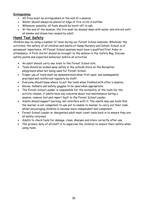#### Extinguishing

- All fires must be extinguished at the end of a session.
- Water should always be placed at edge of fire circle in bottles.
- Whenever possible, all fuels should be burnt off to ash.
- At the end of the session, the fire must be doused down with water and stirred until all smoke and steam has ceased by adult.

# Hand Tool Safety

Children may be using a number of tools during our Forest School sessions. Whatever the activities, the safety of all children and adults at Hamp Nursery and Infant School is of paramount importance. All Forest School sessions must have a qualified First Aider in attendance. A First Aid kit should be brought to the session in the Safety Bag. Discuss safety points and expected behaviour before all activities.

- An adult should carry any tools to the Forest School site.
- Tools should be locked away safely in the outside store on the Reception playground when not being used for Forest School.
- Proper use of tools must be demonstrated when first used, and subsequently practised and reinforced regularly by staff.
- Everyone should know where to put the tools when finished with after a session.
- Gloves, helmets and safety goggles to be used when appropriate.
- The Forest School Leader is responsible for the suitability of the tools for the activity chosen, if adults have any concerns about tool maintenance during a session, remove tool and report fault to the Forest School Leader.
- Adults should support learning, not interfere with it. The adults may use tools that the learner is not competent to use yet to enable to learner to carry out their task, whilst encouraging children to become more independent and competent.
- Forest School Leader or designated adult must count tools back in to ensure they are all safely returned.
- Adults to check tools for damage, clean, sharpen and store correctly after use.
- The primary duty of all staff is to supervise the children to ensure their safety when using tools.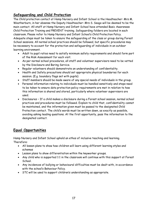# Safeguarding and Child Protection

The Child protection contact at Hamp Nursery and Infant School is the Headteacher: Mrs M. Weatherburn, in her absense the Deputy Headteacher: Mrs S. Seago will be deemed to be the main contact. All staff at Hamp Nursery and Infant School have attended Basic Awareness Child Protection Training and PREVENT training. Safeguarding folders are located in each classroom. Please refer to Hamp Nursery and Infant School's Child Protection Policy. Adequate steps must be taken to ensure the safeguarding of the class or group during Forest School sessions. All normal school practices should be followed, but specific procedures may be necessary to account for the protection and safeguarding of individuals in an outdoor learning environment.

- Adult to pupil ratios need to satisfy minimum safety requirements and should form part of the Risk Assessment for each visit.
- As per normal school procedures, all staff and volunteer supervisors need to be vetted by the Disclosure and Baring Service.
- Regular volunteers should demonstrate an understanding of confidentiality.
- Health and Safety precautions should set appropriate physical boundaries for each session. (E.g. boundary flags set with pupils)
- Staff members should be made aware of any special needs of individuals in the group.
- Personal information relating to individuals must be handled sensitively and steps need to be taken to ensure data protection policy requirements are met in relation to how this information is shared and stored, particularly where volunteer supervisors are used.
- Disclosures If a child makes a disclosure during a Forest school session, normal school practices and procedures must be followed. Explain to child that, confidentiality cannot be maintained, and the information given must be passed to the designated Child Protection contact. The child's words must be written down, as exactly as possible, avoiding asking leading questions. At the first opportunity, pass the information to the designated contact.

# Equal Opportunities

Hamp Nursery and Infant School uphold an ethos of inclusive teaching and learning. Therefore:

- All lesson plans to show how children will learn using different learning styles and schemas
- Lesson plans to show differentiation within the keyworker groups.
- Any child who is supported 1:1 in the classroom will continue with this support at Forest School.
- Any incidences of bullying or behavioural difficulties must be dealt with, in accordance with the school's Behaviour Policy.
- STC will be used to support children's understanding as appropriate.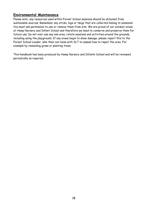# Environmental Maintenance

Please note, any resources used within Forest School sessions should be obtained from sustainable sources. Remember any sticks, logs or twigs that are collected belong to someone! You must ask permission to use or remove them from site. We are proud of our outdoor areas at Hamp Nursery and Infant School and therefore we need to conserve and preserve them for future use. Do not over use any one area, rotate sessions and activities around the grounds, including using the playground. If any areas begin to show damage, please report this to the Forest School Leader, who then can liaise with SLT to assess how to repair the area. For example by reseeding grass or planting trees.

This handbook has been produced by Hamp Nursery and Infants School and will be reviewed periodically as required.